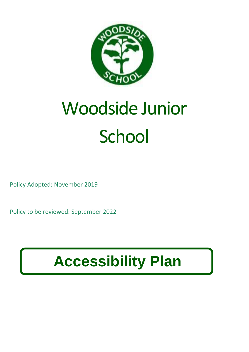

# Woodside Junior **School**

Policy Adopted: November 2019

Policy to be reviewed: September 2022

## **Accessibility Plan**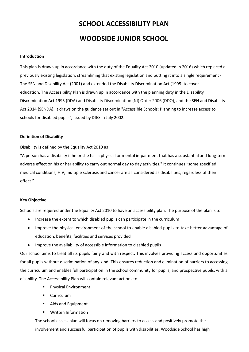## **SCHOOL ACCESSIBILITY PLAN WOODSIDE JUNIOR SCHOOL**

#### **Introduction**

This plan is drawn up in accordance with the duty of the Equality Act 2010 (updated in 2016) which replaced all previously existing legislation, streamlining that existing legislation and putting it into a single requirement - The SEN and Disability Act (2001) and extended the Disability Discrimination Act (1995) to cover education. The Accessibility Plan is drawn up in accordance with the planning duty in the Disability Discrimination Act 1995 (DDA) and Disability Discrimination (NI) Order 2006 (DDO), and the SEN and Disability Act 2014 (SENDA). It draws on the guidance set out in "Accessible Schools: Planning to increase access to schools for disabled pupils", issued by DfES in July 2002.

#### **Definition of Disability**

Disability is defined by the Equality Act 2010 as

"A person has a disability if he or she has a physical or mental impairment that has a substantial and long-term adverse effect on his or her ability to carry out normal day to day activities." It continues "some specified medical conditions, HIV, multiple sclerosis and cancer are all considered as disabilities, regardless of their effect."

#### **Key Objective**

Schools are required under the Equality Act 2010 to have an accessibility plan. The purpose of the plan is to:

- Increase the extent to which disabled pupils can participate in the curriculum
- Improve the physical environment of the school to enable disabled pupils to take better advantage of education, benefits, facilities and services provided
- Improve the availability of accessible information to disabled pupils

Our school aims to treat all its pupils fairly and with respect. This involves providing access and opportunities for all pupils without discrimination of any kind. This ensures reduction and elimination of barriers to accessing the curriculum and enables full participation in the school community for pupils, and prospective pupils, with a disability. The Accessibility Plan will contain relevant actions to:

- **Physical Environment**
- **Curriculum**
- Aids and Equipment
- Written Information

The school access plan will focus on removing barriers to access and positively promote the involvement and successful participation of pupils with disabilities. Woodside School has high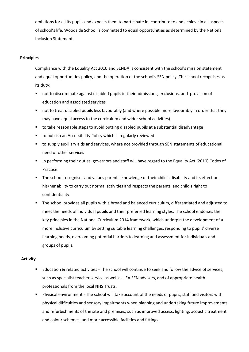ambitions for all its pupils and expects them to participate in, contribute to and achieve in all aspects of school's life. Woodside School is committed to equal opportunities as determined by the National Inclusion Statement.

#### **Principles**

Compliance with the Equality Act 2010 and SENDA is consistent with the school's mission statement and equal opportunities policy, and the operation of the school's SEN policy. The school recognises as its duty:

- not to discriminate against disabled pupils in their admissions, exclusions, and provision of education and associated services
- not to treat disabled pupils less favourably (and where possible more favourably in order that they may have equal access to the curriculum and wider school activities)
- to take reasonable steps to avoid putting disabled pupils at a substantial disadvantage
- to publish an Accessibility Policy which is regularly reviewed
- to supply auxiliary aids and services, where not provided through SEN statements of educational need or other services
- In performing their duties, governors and staff will have regard to the Equality Act (2010) Codes of Practice.
- The school recognises and values parents' knowledge of their child's disability and its effect on his/her ability to carry out normal activities and respects the parents' and child's right to confidentiality.
- The school provides all pupils with a broad and balanced curriculum, differentiated and adjusted to meet the needs of individual pupils and their preferred learning styles. The school endorses the key principles in the National Curriculum 2014 framework, which underpin the development of a more inclusive curriculum by setting suitable learning challenges, responding to pupils' diverse learning needs, overcoming potential barriers to learning and assessment for individuals and groups of pupils.

#### **Activity**

- Education & related activities The school will continue to seek and follow the advice of services, such as specialist teacher service as well as LEA SEN advisers, and of appropriate health professionals from the local NHS Trusts.
- Physical environment The school will take account of the needs of pupils, staff and visitors with physical difficulties and sensory impairments when planning and undertaking future improvements and refurbishments of the site and premises, such as improved access, lighting, acoustic treatment and colour schemes, and more accessible facilities and fittings.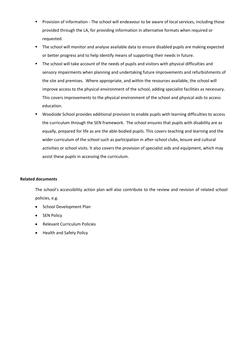- **Provision of information The school will endeavour to be aware of local services, including those** provided through the LA, for providing information in alternative formats when required or requested.
- The school will monitor and analyse available data to ensure disabled pupils are making expected or better progress and to help identify means of supporting their needs in future.
- **The school will take account of the needs of pupils and visitors with physical difficulties and** sensory impairments when planning and undertaking future improvements and refurbishments of the site and premises. Where appropriate, and within the resources available, the school will improve access to the physical environment of the school, adding specialist facilities as necessary. This covers improvements to the physical environment of the school and physical aids to access education.
- Woodside School provides additional provision to enable pupils with learning difficulties to access the curriculum through the SEN framework. The school ensures that pupils with disability are as equally, prepared for life as are the able-bodied pupils. This covers teaching and learning and the wider curriculum of the school such as participation in after-school clubs, leisure and cultural activities or school visits. It also covers the provision of specialist aids and equipment, which may assist these pupils in accessing the curriculum.

#### **Related documents**

The school's accessibility action plan will also contribute to the review and revision of related school policies, e.g.

- School Development Plan
- SEN Policy
- Relevant Curriculum Policies
- Health and Safety Policy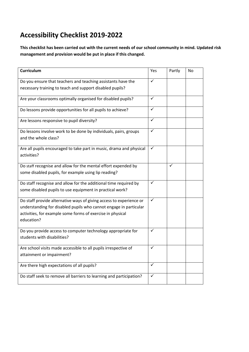### **Accessibility Checklist 2019-2022**

**This checklist has been carried out with the current needs of our school community in mind. Updated risk management and provision would be put in place if this changed.**

| Curriculum                                                                                                               | Yes          | Partly | No |
|--------------------------------------------------------------------------------------------------------------------------|--------------|--------|----|
| Do you ensure that teachers and teaching assistants have the<br>necessary training to teach and support disabled pupils? | $\checkmark$ |        |    |
|                                                                                                                          |              |        |    |
| Are your classrooms optimally organised for disabled pupils?                                                             | $\checkmark$ |        |    |
| Do lessons provide opportunities for all pupils to achieve?                                                              | $\checkmark$ |        |    |
| Are lessons responsive to pupil diversity?                                                                               | ✓            |        |    |
| Do lessons involve work to be done by individuals, pairs, groups<br>and the whole class?                                 | $\checkmark$ |        |    |
| Are all pupils encouraged to take part in music, drama and physical<br>activities?                                       | $\checkmark$ |        |    |
| Do staff recognise and allow for the mental effort expended by                                                           |              | ✓      |    |
| some disabled pupils, for example using lip reading?                                                                     |              |        |    |
| Do staff recognise and allow for the additional time required by                                                         | $\checkmark$ |        |    |
| some disabled pupils to use equipment in practical work?                                                                 |              |        |    |
| Do staff provide alternative ways of giving access to experience or                                                      | ✓            |        |    |
| understanding for disabled pupils who cannot engage in particular                                                        |              |        |    |
| activities, for example some forms of exercise in physical<br>education?                                                 |              |        |    |
| Do you provide access to computer technology appropriate for                                                             | ✓            |        |    |
| students with disabilities?                                                                                              |              |        |    |
| Are school visits made accessible to all pupils irrespective of                                                          | ✓            |        |    |
| attainment or impairment?                                                                                                |              |        |    |
| Are there high expectations of all pupils?                                                                               | ✓            |        |    |
| Do staff seek to remove all barriers to learning and participation?                                                      | ✓            |        |    |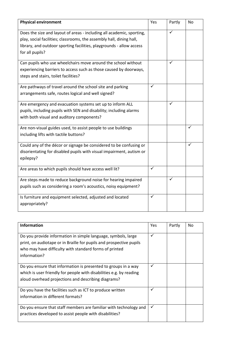| <b>Physical environment</b>                                                                                                                                                                                                              | Yes | Partly | No |
|------------------------------------------------------------------------------------------------------------------------------------------------------------------------------------------------------------------------------------------|-----|--------|----|
| Does the size and layout of areas - including all academic, sporting,<br>play, social facilities; classrooms, the assembly hall, dining hall,<br>library, and outdoor sporting facilities, playgrounds - allow access<br>for all pupils? |     | ✓      |    |
| Can pupils who use wheelchairs move around the school without<br>experiencing barriers to access such as those caused by doorways,<br>steps and stairs, toilet facilities?                                                               |     | ✓      |    |
| Are pathways of travel around the school site and parking<br>arrangements safe, routes logical and well signed?                                                                                                                          | ✓   |        |    |
| Are emergency and evacuation systems set up to inform ALL<br>pupils, including pupils with SEN and disability; including alarms<br>with both visual and auditory components?                                                             |     | ✓      |    |
| Are non-visual guides used, to assist people to use buildings<br>including lifts with tactile buttons?                                                                                                                                   |     |        | ✓  |
| Could any of the décor or signage be considered to be confusing or<br>disorientating for disabled pupils with visual impairment, autism or<br>epilepsy?                                                                                  |     |        | ✓  |
| Are areas to which pupils should have access well lit?                                                                                                                                                                                   | ✓   |        |    |
| Are steps made to reduce background noise for hearing impaired<br>pupils such as considering a room's acoustics, noisy equipment?                                                                                                        |     | ✓      |    |
| Is furniture and equipment selected, adjusted and located<br>appropriately?                                                                                                                                                              | ✓   |        |    |

| <b>Information</b>                                                                                                                                                                                             | Yes | Partly | No |
|----------------------------------------------------------------------------------------------------------------------------------------------------------------------------------------------------------------|-----|--------|----|
| Do you provide information in simple language, symbols, large<br>print, on audiotape or in Braille for pupils and prospective pupils<br>who may have difficulty with standard forms of printed<br>information? | ✓   |        |    |
| Do you ensure that information is presented to groups in a way<br>which is user friendly for people with disabilities e.g. by reading<br>aloud overhead projections and describing diagrams?                   | ✓   |        |    |
| Do you have the facilities such as ICT to produce written<br>information in different formats?                                                                                                                 | ✓   |        |    |
| Do you ensure that staff members are familiar with technology and<br>practices developed to assist people with disabilities?                                                                                   | ✓   |        |    |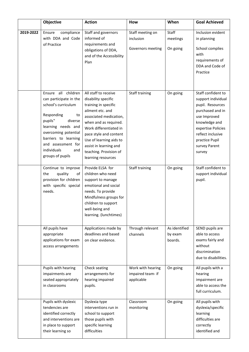|           | Objective                                                                                                                                                                                                                                            | <b>Action</b>                                                                                                                                                                                                                                                                                       | <b>How</b>                                           | When                                | <b>Goal Achieved</b>                                                                                                                                                                                      |
|-----------|------------------------------------------------------------------------------------------------------------------------------------------------------------------------------------------------------------------------------------------------------|-----------------------------------------------------------------------------------------------------------------------------------------------------------------------------------------------------------------------------------------------------------------------------------------------------|------------------------------------------------------|-------------------------------------|-----------------------------------------------------------------------------------------------------------------------------------------------------------------------------------------------------------|
| 2019-2022 | compliance<br>Ensure<br>with DDA and Code<br>of Practice                                                                                                                                                                                             | Staff and governors<br>informed of<br>requirements and<br>obligations of DDA,<br>and of the Accessibility<br>Plan                                                                                                                                                                                   | Staff meeting on<br>inclusion<br>Governors meeting   | Staff<br>meetings<br>On going       | Inclusion evident<br>in planning<br>School complies<br>with<br>requirements of<br>DDA and Code of<br>Practice                                                                                             |
|           | Ensure all children<br>can participate in the<br>school's curriculum<br>Responding<br>to<br>pupils"<br>diverse<br>learning needs and<br>overcoming potential<br>barriers to learning<br>and assessment for<br>individuals<br>and<br>groups of pupils | All staff to receive<br>disability specific<br>training in specific<br>ailment etc. and<br>associated medication,<br>when and as required.<br>Work differentiated in<br>pace style and content<br>Use of learning aids to<br>assist in learning and<br>teaching. Provision of<br>learning resources | Staff training                                       | On going                            | Staff confident to<br>support individual<br>pupil. Resources<br>purchased and in<br>use Improved<br>knowledge and<br>expertise Policies<br>reflect inclusive<br>practice Pupil<br>survey Parent<br>survey |
|           | Continue to improve<br>quality<br>the<br>of<br>provision for children<br>with specific special<br>needs.                                                                                                                                             | Provide ELSA for<br>children who need<br>support to manage<br>emotional and social<br>needs. To provide<br>Mindfulness groups for<br>children to support<br>well-being and<br>learning. (lunchtimes)                                                                                                | Staff training                                       | On going                            | Staff confident to<br>support individual<br>pupil.                                                                                                                                                        |
|           | All pupils have<br>appropriate<br>applications for exam<br>access arrangements                                                                                                                                                                       | Applications made by<br>deadlines and based<br>on clear evidence.                                                                                                                                                                                                                                   | Through relevant<br>channels                         | As identified<br>by exam<br>boards. | SEND pupils are<br>able to access<br>exams fairly and<br>without<br>discrimination<br>due to disabilities.                                                                                                |
|           | Pupils with hearing<br>impairments are<br>seated appropriately<br>in classrooms                                                                                                                                                                      | Check seating<br>arrangements for<br>hearing impaired<br>pupils.                                                                                                                                                                                                                                    | Work with hearing<br>impaired team- if<br>applicable | On going                            | All pupils with a<br>hearing<br>impairment are<br>able to access the<br>full curriculum.                                                                                                                  |
|           | Pupils with dyslexic<br>tendencies are<br>identified correctly<br>and interventions are<br>in place to support<br>their learning so                                                                                                                  | Dyslexia type<br>interventions run in<br>school to support<br>those pupils with<br>specific learning<br>difficulties                                                                                                                                                                                | Classroom<br>monitoring                              | On going                            | All pupils with<br>dyslexia/specific<br>learning<br>difficulties are<br>correctly<br>identified and                                                                                                       |